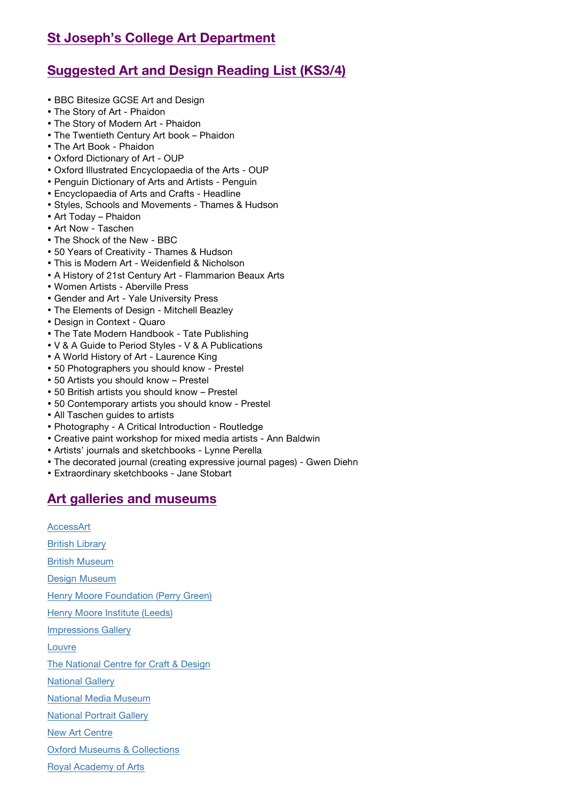# **St Joseph's College Art Department**

# **Suggested Art and Design Reading List (KS3/4)**

- BBC Bitesize GCSE Art and Design
- The Story of Art Phaidon
- The Story of Modern Art Phaidon
- The Twentieth Century Art book Phaidon
- The Art Book Phaidon
- Oxford Dictionary of Art OUP
- Oxford Illustrated Encyclopaedia of the Arts OUP
- Penguin Dictionary of Arts and Artists Penguin
- Encyclopaedia of Arts and Crafts Headline
- Styles, Schools and Movements Thames & Hudson
- Art Today Phaidon
- Art Now Taschen
- The Shock of the New BBC
- 50 Years of Creativity Thames & Hudson
- This is Modern Art Weidenfield & Nicholson
- A History of 21st Century Art Flammarion Beaux Arts
- Women Artists Aberville Press
- Gender and Art Yale University Press
- The Elements of Design Mitchell Beazley
- Design in Context Quaro
- The Tate Modern Handbook Tate Publishing
- V & A Guide to Period Styles V & A Publications
- A World History of Art Laurence King
- 50 Photographers you should know Prestel
- 50 Artists you should know Prestel
- 50 British artists you should know Prestel
- 50 Contemporary artists you should know Prestel
- All Taschen guides to artists
- Photography A Critical Introduction Routledge
- Creative paint workshop for mixed media artists Ann Baldwin
- Artists' journals and sketchbooks Lynne Perella
- The decorated journal (creating expressive journal pages) Gwen Diehn
- Extraordinary sketchbooks Jane Stobart

# **Art galleries and museums**

**AccessArt** British Library British Museum Design Museum Henry Moore Foundation (Perry Green) Henry Moore Institute (Leeds) Impressions Gallery Louvre The National Centre for Craft & Design National Gallery National Media Museum National Portrait Gallery New Art Centre Oxford Museums & Collections Royal Academy of Arts